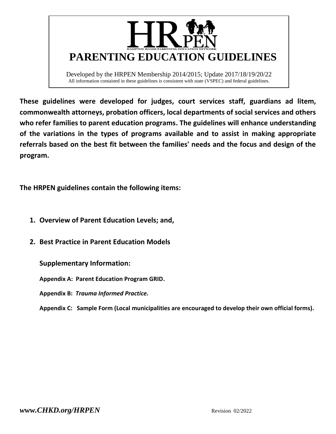

Developed by the HRPEN Membership 2014/2015; Update 2017/18/19/20/22 All information contained in these guidelines is consistent with state (VSPEC) and federal guidelines.

**These guidelines were developed for judges, court services staff, guardians ad litem, commonwealth attorneys, probation officers, local departments of social services and others who refer families to parent education programs. The guidelines will enhance understanding of the variations in the types of programs available and to assist in making appropriate referrals based on the best fit between the families' needs and the focus and design of the program.**

**The HRPEN guidelines contain the following items:**

- **1. Overview of Parent Education Levels; and,**
- **2. Best Practice in Parent Education Models**

**Supplementary Information:**

**Appendix A: Parent Education Program GRID.**

**Appendix B:** *Trauma Informed Practice.*

**Appendix C: Sample Form (Local municipalities are encouraged to develop their own official forms).**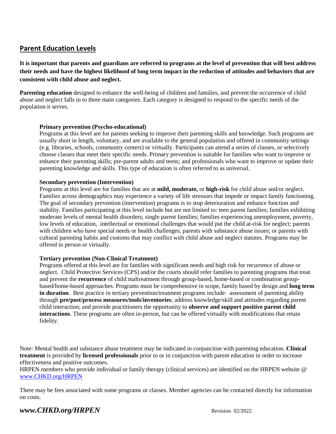# **Parent Education Levels**

**It is important that parents and guardians are referred to programs at the level of prevention that will best address their needs and have the highest likelihood of long term impact in the reduction of attitudes and behaviors that are consistent with child abuse and neglect.** 

**Parenting education** designed to enhance the well-being of children and families, and prevent the occurrence of child abuse and neglect falls in to three main categories. Each category is designed to respond to the specific needs of the population it serves.

#### **Primary prevention (Psycho-educational)**

Programs at this level are for parents seeking to improve their parenting skills and knowledge. Such programs are usually short in length, voluntary, and are available to the general population and offered in community settings (e.g. libraries, schools, community centers) or virtually. Participants can attend a series of classes, or selectively choose classes that meet their specific needs. Primary prevention is suitable for families who want to improve or enhance their parenting skills; pre-parent adults and teens; and professionals who want to improve or update their parenting knowledge and skills. This type of education is often referred to as universal.

#### **Secondary prevention (Intervention)**

Programs at this level are for families that are at **mild, moderate,** or **high-risk** for child abuse and/or neglect. Families across demographics may experience a variety of life stressors that impede or impact family functioning. The goal of secondary prevention (intervention) programs is to stop deterioration and enhance function and stability. Families participating at this level include but are not limited to: teen parent families; families exhibiting moderate levels of mental health disorders; single parent families; families experiencing unemployment, poverty, low levels of education, intellectual or emotional challenges that would put the child at-risk for neglect; parents with children who have special needs or health challenges; parents with substance abuse issues; or parents with cultural parenting habits and customs that may conflict with child abuse and neglect statutes. Programs may be offered in person or virtually.

#### **Tertiary prevention (Non-Clinical Treatment)**

Programs offered at this level are for families with significant needs and high risk for recurrence of abuse or neglect. Child Protective Services (CPS) and/or the courts should refer families to parenting programs that treat and prevent the **recurrence** of child maltreatment through group-based, home-based or combination groupbased/home-based approaches. Programs must be comprehensive in scope, family based by design and **long term in duration**. Best practice in tertiary prevention/treatment programs include: assessment of parenting ability through **pre/post/process measures/tools/inventories**; address knowledge/skill and attitudes regarding parent child interaction; and provide practitioners the opportunity to **observe and support positive parent child interactions**. These programs are often in-person, but can be offered virtually with modifications that retain fidelity.

Note: Mental health and substance abuse treatment may be indicated in conjunction with parenting education. **Clinical treatment** is provided by **licensed professionals** prior to or in conjunction with parent education in order to increase effectiveness and positive outcomes.

HRPEN members who provide individual or family therapy (clinical services) are identified on the HRPEN website @ [www.CHKD.org/HRPEN](http://www.chkd.org/HRPEN)

There may be fees associated with some programs or classes. Member agencies can be contacted directly for information on costs.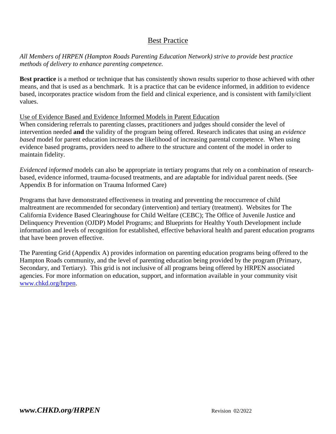# Best Practice

*All Members of HRPEN (Hampton Roads Parenting Education Network) strive to provide best practice methods of delivery to enhance parenting competence.* 

**B**e**st practice** is a method or technique that has consistently shown results superior to those achieved with other means, and that is used as a benchmark. It is a practice that can be evidence informed, in addition to evidence based, incorporates practice wisdom from the field and clinical experience, and is consistent with family/client values.

### Use of Evidence Based and Evidence Informed Models in Parent Education

When considering referrals to parenting classes, practitioners and judges should consider the level of intervention needed **and** the validity of the program being offered. Research indicates that using an *evidence based* model for parent education increases the likelihood of increasing parental competence*.* When using evidence based programs, providers need to adhere to the structure and content of the model in order to maintain fidelity.

*Evidenced informed* models can also be appropriate in tertiary programs that rely on a combination of researchbased, evidence informed, trauma-focused treatments, and are adaptable for individual parent needs. (See Appendix B for information on Trauma Informed Care)

Programs that have demonstrated effectiveness in treating and preventing the reoccurrence of child maltreatment are recommended for secondary (intervention) and tertiary (treatment). Websites for The California Evidence Based Clearinghouse for Child Welfare (CEBC); The Office of Juvenile Justice and Delinquency Prevention (OJDP) Model Programs; and Blueprints for Healthy Youth Development include information and levels of recognition for established, effective behavioral health and parent education programs that have been proven effective.

The Parenting Grid (Appendix A) provides information on parenting education programs being offered to the Hampton Roads community, and the level of parenting education being provided by the program (Primary, Secondary, and Tertiary). This grid is not inclusive of all programs being offered by HRPEN associated agencies. For more information on education, support, and information available in your community visit [www.chkd.org/hrpen.](http://www.chkd.org/hrpen)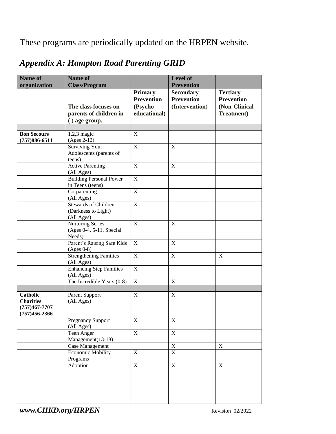These programs are periodically updated on the HRPEN website.

| <b>Name of</b>     | Name of<br><b>Class/Program</b>            |                         | Level of<br><b>Prevention</b> |                   |
|--------------------|--------------------------------------------|-------------------------|-------------------------------|-------------------|
| organization       |                                            | <b>Primary</b>          | <b>Secondary</b>              | <b>Tertiary</b>   |
|                    |                                            | <b>Prevention</b>       | <b>Prevention</b>             | <b>Prevention</b> |
|                    | The class focuses on                       | (Psycho-                | (Intervention)                | (Non-Clinical     |
|                    | parents of children in                     | educational)            |                               | Treatment)        |
|                    | () age group.                              |                         |                               |                   |
|                    |                                            |                         |                               |                   |
| <b>Bon Secours</b> | $1,2,3$ magic                              | X                       |                               |                   |
| $(757)886 - 6511$  | $(Ages 2-12)$<br><b>Surviving Your</b>     | $\mathbf X$             | X                             |                   |
|                    | Adolescents (parents of                    |                         |                               |                   |
|                    | teens)                                     |                         |                               |                   |
|                    | <b>Active Parenting</b>                    | $\mathbf X$             | $\mathbf X$                   |                   |
|                    | (All Ages)                                 |                         |                               |                   |
|                    | <b>Building Personal Power</b>             | $\mathbf X$             |                               |                   |
|                    | in Teens (teens)<br>Co-parenting           | $\overline{\mathbf{X}}$ |                               |                   |
|                    | (All Ages)                                 |                         |                               |                   |
|                    | <b>Stewards of Children</b>                | $\mathbf X$             |                               |                   |
|                    | (Darkness to Light)                        |                         |                               |                   |
|                    | (All Ages)                                 |                         |                               |                   |
|                    | <b>Nurturing Series</b>                    | $\overline{\mathbf{X}}$ | $\mathbf X$                   |                   |
|                    | (Ages 0-4, 5-11, Special<br>Needs)         |                         |                               |                   |
|                    | Parent's Raising Safe Kids                 | $\mathbf X$             | X                             |                   |
|                    | $(Ages 0-8)$                               |                         |                               |                   |
|                    | <b>Strengthening Families</b>              | $\overline{\mathbf{X}}$ | $\overline{X}$                | $\mathbf X$       |
|                    | (All Ages)                                 |                         |                               |                   |
|                    | <b>Enhancing Step Families</b>             | $\mathbf X$             |                               |                   |
|                    | (All Ages)<br>The Incredible Years $(0-8)$ | $\mathbf X$             | $\mathbf X$                   |                   |
|                    |                                            |                         |                               |                   |
| <b>Catholic</b>    | Parent Support                             | $\mathbf X$             | X                             |                   |
| <b>Charities</b>   | (All Ages)                                 |                         |                               |                   |
| $(757)467 - 7707$  |                                            |                         |                               |                   |
| $(757)456 - 2366$  |                                            |                         |                               |                   |
|                    | Pregnancy Support<br>(All Ages)            | $\overline{X}$          | $\overline{X}$                |                   |
|                    | Teen Anger                                 | $\overline{X}$          | $\overline{X}$                |                   |
|                    | Management(13-18)                          |                         |                               |                   |
|                    | Case Management                            |                         | $\mathbf X$                   | $\mathbf X$       |
|                    | <b>Economic Mobility</b>                   | $\mathbf X$             | $\overline{X}$                |                   |
|                    | Programs                                   |                         |                               |                   |
|                    | Adoption                                   | $\overline{X}$          | $\overline{X}$                | $\overline{X}$    |
|                    |                                            |                         |                               |                   |
|                    |                                            |                         |                               |                   |
|                    |                                            |                         |                               |                   |
|                    |                                            |                         |                               |                   |

# *Appendix A: Hampton Road Parenting GRID*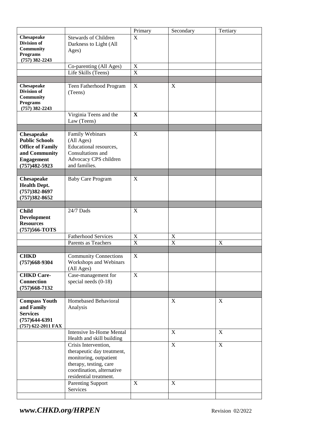|                                                                                                                           |                                                                                                                                                                                           | Primary                   | Secondary                  | Tertiary    |
|---------------------------------------------------------------------------------------------------------------------------|-------------------------------------------------------------------------------------------------------------------------------------------------------------------------------------------|---------------------------|----------------------------|-------------|
| <b>Chesapeake</b><br><b>Division of</b><br><b>Community</b><br><b>Programs</b><br>$(757)$ 382-2243                        | <b>Stewards of Children</b><br>Darkness to Light (All<br>Ages)                                                                                                                            | X                         |                            |             |
|                                                                                                                           | Co-parenting (All Ages)                                                                                                                                                                   | $\boldsymbol{\mathrm{X}}$ |                            |             |
|                                                                                                                           | Life Skills (Teens)                                                                                                                                                                       | $\mathbf X$               |                            |             |
|                                                                                                                           |                                                                                                                                                                                           |                           |                            |             |
| Chesapeake<br>Division of<br><b>Community</b><br><b>Programs</b><br>$(757)$ 382-2243                                      | Teen Fatherhood Program<br>(Teens)                                                                                                                                                        | X                         | X                          |             |
|                                                                                                                           | Virginia Teens and the<br>Law (Teens)                                                                                                                                                     | X                         |                            |             |
|                                                                                                                           |                                                                                                                                                                                           |                           |                            |             |
| Chesapeake<br><b>Public Schools</b><br><b>Office of Family</b><br>and Community<br><b>Engagement</b><br>$(757)482 - 5923$ | Family Webinars<br>(All Ages)<br>Educational resources,<br>Consultations and<br>Advocacy CPS children<br>and families.                                                                    | X                         |                            |             |
| Chesapeake<br><b>Health Dept.</b><br>$(757)382 - 8697$<br>$(757)382 - 8652$                                               | <b>Baby Care Program</b>                                                                                                                                                                  | X                         |                            |             |
| <b>Child</b>                                                                                                              | 24/7 Dads                                                                                                                                                                                 | X                         |                            |             |
| <b>Development</b><br><b>Resources</b><br>(757)566-TOTS                                                                   |                                                                                                                                                                                           |                           |                            |             |
|                                                                                                                           | <b>Fatherhood Services</b>                                                                                                                                                                | X                         | $\mathbf X$                |             |
|                                                                                                                           | Parents as Teachers                                                                                                                                                                       | $\mathbf X$               | $\mathbf X$                | $\mathbf X$ |
|                                                                                                                           |                                                                                                                                                                                           |                           |                            |             |
| <b>CHKD</b><br>$(757)668-9304$                                                                                            | <b>Community Connections</b><br>Workshops and Webinars<br>(All Ages)                                                                                                                      | $\mathbf X$               |                            |             |
| <b>CHKD Care-</b><br><b>Connection</b><br>$(757)668 - 7132$                                                               | Case-management for<br>special needs (0-18)                                                                                                                                               | X                         |                            |             |
|                                                                                                                           |                                                                                                                                                                                           |                           |                            |             |
| <b>Compass Youth</b><br>and Family<br><b>Services</b><br>$(757)644-6391$<br>(757) 622-2011 FAX                            | Homebased Behavioral<br>Analysis                                                                                                                                                          |                           | X                          | X           |
|                                                                                                                           | <b>Intensive In-Home Mental</b><br>Health and skill building                                                                                                                              |                           | $\mathbf X$                | $\mathbf X$ |
|                                                                                                                           | Crisis Intervention,<br>therapeutic day treatment,<br>monitoring, outpatient<br>therapy, testing, care<br>coordination, alternative<br>residential treatment.<br><b>Parenting Support</b> | $\mathbf X$               | $\mathbf X$<br>$\mathbf X$ | $\mathbf X$ |
|                                                                                                                           | Services                                                                                                                                                                                  |                           |                            |             |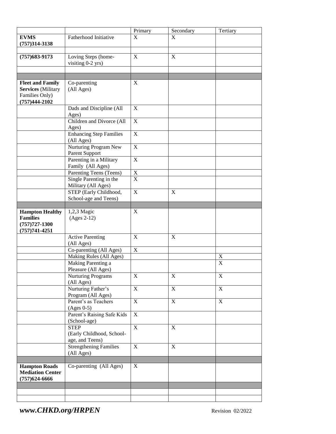|                           |                                | Primary        | Secondary   | Tertiary    |
|---------------------------|--------------------------------|----------------|-------------|-------------|
| <b>EVMS</b>               | Fatherhood Initiative          | X              | X           |             |
| $(757)314 - 3138$         |                                |                |             |             |
|                           |                                |                |             |             |
| $(757)683 - 9173$         | Loving Steps (home-            | $\mathbf X$    | $\mathbf X$ |             |
|                           | visiting 0-2 yrs)              |                |             |             |
|                           |                                |                |             |             |
|                           |                                |                |             |             |
| <b>Fleet and Family</b>   | Co-parenting                   | X              |             |             |
| <b>Services</b> (Military | (All Ages)                     |                |             |             |
| Families Only)            |                                |                |             |             |
|                           |                                |                |             |             |
| $(757)444-2102$           |                                |                |             |             |
|                           | Dads and Discipline (All       | X              |             |             |
|                           | Ages)                          |                |             |             |
|                           | Children and Divorce (All      | $\mathbf X$    |             |             |
|                           | Ages)                          |                |             |             |
|                           | <b>Enhancing Step Families</b> | $\mathbf X$    |             |             |
|                           | (All Ages)                     |                |             |             |
|                           | Nurturing Program New          | $\mathbf X$    |             |             |
|                           | Parent Support                 |                |             |             |
|                           | Parenting in a Military        | $\mathbf X$    |             |             |
|                           | Family (All Ages)              |                |             |             |
|                           | Parenting Teens (Teens)        | $\mathbf X$    |             |             |
|                           | Single Parenting in the        | $\overline{X}$ |             |             |
|                           | Military (All Ages)            |                |             |             |
|                           | STEP (Early Childhood,         | $\mathbf X$    | X           |             |
|                           | School-age and Teens)          |                |             |             |
|                           |                                |                |             |             |
| <b>Hampton Healthy</b>    | 1,2,3 Magic                    | $\mathbf X$    |             |             |
| <b>Families</b>           | $(Ages 2-12)$                  |                |             |             |
| $(757)727 - 1300$         |                                |                |             |             |
| $(757)741 - 4251$         |                                |                |             |             |
|                           | <b>Active Parenting</b>        | $\mathbf X$    | X           |             |
|                           | (All Ages)                     |                |             |             |
|                           | Co-parenting (All Ages)        | $\mathbf X$    |             |             |
|                           | Making Rules (All Ages)        |                |             | X           |
|                           | Making Parenting a             |                |             | $\mathbf X$ |
|                           | Pleasure (All Ages)            |                |             |             |
|                           | <b>Nurturing Programs</b>      | $\mathbf X$    | X           | $\mathbf X$ |
|                           | (All Ages)                     |                |             |             |
|                           | Nurturing Father's             | $\mathbf X$    | $\mathbf X$ | $\mathbf X$ |
|                           | Program (All Ages)             |                |             |             |
|                           | Parent's as Teachers           | $\mathbf X$    | $\mathbf X$ | $\mathbf X$ |
|                           | $(Ages 0-5)$                   |                |             |             |
|                           | Parent's Raising Safe Kids     | $\mathbf X$    |             |             |
|                           | (School-age)                   |                |             |             |
|                           | <b>STEP</b>                    | $\mathbf X$    | $\mathbf X$ |             |
|                           | (Early Childhood, School-      |                |             |             |
|                           | age, and Teens)                |                |             |             |
|                           | <b>Strengthening Families</b>  | $\mathbf X$    | $\mathbf X$ |             |
|                           | (All Ages)                     |                |             |             |
|                           |                                |                |             |             |
| <b>Hampton Roads</b>      | Co-parenting (All Ages)        | $\mathbf X$    |             |             |
| <b>Mediation Center</b>   |                                |                |             |             |
| $(757)624-6666$           |                                |                |             |             |
|                           |                                |                |             |             |
|                           |                                |                |             |             |
|                           |                                |                |             |             |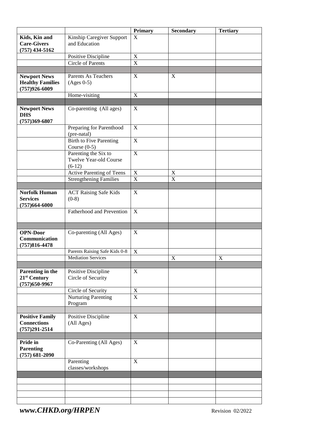|                                                                     |                                                            | <b>Primary</b>            | <b>Secondary</b> | <b>Tertiary</b> |
|---------------------------------------------------------------------|------------------------------------------------------------|---------------------------|------------------|-----------------|
| Kids, Kin and<br><b>Care-Givers</b>                                 | Kinship Caregiver Support<br>and Education                 | X                         |                  |                 |
| $(757)$ 434-5162                                                    |                                                            | $\mathbf X$               |                  |                 |
|                                                                     | Positive Discipline<br>Circle of Parents                   | $\mathbf X$               |                  |                 |
|                                                                     |                                                            |                           |                  |                 |
| <b>Newport News</b><br><b>Healthy Families</b><br>$(757)926 - 6009$ | Parents As Teachers<br>$(Ages 0-5)$                        | $\mathbf X$               | X                |                 |
|                                                                     | Home-visiting                                              | $\mathbf X$               |                  |                 |
|                                                                     |                                                            |                           |                  |                 |
| <b>Newport News</b><br><b>DHS</b><br>$(757)369 - 6807$              | Co-parenting (All ages)                                    | $\mathbf X$               |                  |                 |
|                                                                     | Preparing for Parenthood<br>(pre-natal)                    | $\mathbf X$               |                  |                 |
|                                                                     | <b>Birth to Five Parenting</b><br>Course $(0-5)$           | $\mathbf X$               |                  |                 |
|                                                                     | Parenting the Six to<br>Twelve Year-old Course<br>$(6-12)$ | $\mathbf X$               |                  |                 |
|                                                                     | Active Parenting of Teens                                  | $\mathbf X$               | $\mathbf X$      |                 |
|                                                                     | <b>Strengthening Families</b>                              | $\mathbf X$               | $\overline{X}$   |                 |
|                                                                     |                                                            |                           |                  |                 |
| <b>Norfolk Human</b><br><b>Services</b><br>$(757)664 - 6000$        | <b>ACT Raising Safe Kids</b><br>$(0-8)$                    | X                         |                  |                 |
|                                                                     | Fatherhood and Prevention                                  | $\mathbf X$               |                  |                 |
|                                                                     |                                                            |                           |                  |                 |
| <b>OPN-Door</b><br>Communication<br>$(757)816 - 4478$               | Co-parenting (All Ages)                                    | X                         |                  |                 |
|                                                                     | Parents Raising Safe Kids 0-8                              | $\boldsymbol{\mathrm{X}}$ |                  |                 |
|                                                                     | <b>Mediation Services</b>                                  |                           | X                | X               |
|                                                                     |                                                            |                           |                  |                 |
| Parenting in the<br>21 <sup>st</sup> Century<br>$(757)650 - 9967$   | Positive Discipline<br>Circle of Security                  | X                         |                  |                 |
|                                                                     | Circle of Security                                         | $\mathbf X$               |                  |                 |
|                                                                     | <b>Nurturing Parenting</b><br>Program                      | $\overline{X}$            |                  |                 |
| <b>Positive Family</b><br><b>Connections</b><br>$(757)291 - 2514$   | Positive Discipline<br>(All Ages)                          | $\mathbf X$               |                  |                 |
|                                                                     |                                                            |                           |                  |                 |
| Pride in<br><b>Parenting</b><br>$(757) 681 - 2090$                  | Co-Parenting (All Ages)                                    | X                         |                  |                 |
|                                                                     | Parenting<br>classes/workshops                             | $\mathbf X$               |                  |                 |
|                                                                     |                                                            |                           |                  |                 |
|                                                                     |                                                            |                           |                  |                 |
|                                                                     |                                                            |                           |                  |                 |
|                                                                     |                                                            |                           |                  |                 |
|                                                                     |                                                            |                           |                  |                 |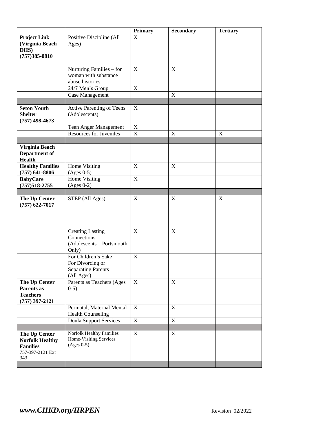|                                                                                       |                                                                                    | <b>Primary</b> | <b>Secondary</b> | <b>Tertiary</b> |
|---------------------------------------------------------------------------------------|------------------------------------------------------------------------------------|----------------|------------------|-----------------|
| <b>Project Link</b><br>(Virginia Beach<br>DHS)                                        | Positive Discipline (All<br>Ages)                                                  | $\mathbf{X}$   |                  |                 |
| $(757)385 - 0810$                                                                     |                                                                                    |                |                  |                 |
|                                                                                       | Nurturing Families – for                                                           | X              | $\mathbf X$      |                 |
|                                                                                       | woman with substance                                                               |                |                  |                 |
|                                                                                       | abuse histories                                                                    |                |                  |                 |
|                                                                                       | 24/7 Men's Group                                                                   | $\mathbf X$    |                  |                 |
|                                                                                       | Case Management                                                                    |                | $\mathbf X$      |                 |
|                                                                                       |                                                                                    |                |                  |                 |
| <b>Seton Youth</b><br><b>Shelter</b><br>$(757)$ 498-4673                              | Active Parenting of Teens<br>(Adolescents)                                         | $\mathbf X$    |                  |                 |
|                                                                                       | Teen Anger Management                                                              | X              |                  |                 |
|                                                                                       | <b>Resources for Juveniles</b>                                                     | $\mathbf X$    | X                | X               |
|                                                                                       |                                                                                    |                |                  |                 |
| Virginia Beach<br>Department of<br><b>Health</b>                                      |                                                                                    |                |                  |                 |
| <b>Healthy Families</b><br>$(757)$ 641-8806                                           | Home Visiting<br>$(Ages 0-5)$                                                      | $\mathbf X$    | $\mathbf X$      |                 |
| <b>BabyCare</b>                                                                       | Home Visiting                                                                      | $\mathbf X$    |                  |                 |
| $(757)518 - 2755$                                                                     | $(Ages 0-2)$                                                                       |                |                  |                 |
| The Up Center                                                                         | STEP (All Ages)                                                                    | X              | X                | X               |
| $(757)$ 622-7017                                                                      |                                                                                    |                |                  |                 |
|                                                                                       | <b>Creating Lasting</b><br>Connections<br>$(Adolescents - Portsmouth$<br>Only)     | X              | X                |                 |
|                                                                                       | For Children's Sake<br>For Divorcing or<br><b>Separating Parents</b><br>(All Ages) | $\mathbf X$    |                  |                 |
| The Up Center<br>Parents as<br><b>Teachers</b><br>$(757)$ 397-2121                    | Parents as Teachers (Ages<br>$0-5)$                                                | X              | X                |                 |
|                                                                                       | Perinatal, Maternal Mental<br><b>Health Counseling</b>                             | X              | X                |                 |
|                                                                                       | <b>Doula Support Services</b>                                                      | $\mathbf X$    | $\mathbf X$      |                 |
|                                                                                       | <b>Norfolk Healthy Families</b>                                                    |                |                  |                 |
| The Up Center<br><b>Norfolk Healthy</b><br><b>Families</b><br>757-397-2121 Ext<br>343 | Home-Visiting Services<br>$(Ages 0-5)$                                             | X              | X                |                 |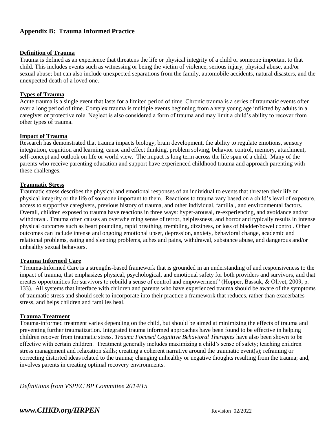# **Appendix B: Trauma Informed Practice**

#### **Definition of Trauma**

Trauma is defined as an experience that threatens the life or physical integrity of a child or someone important to that child. This includes events such as witnessing or being the victim of violence, serious injury, physical abuse, and/or sexual abuse; but can also include unexpected separations from the family, automobile accidents, natural disasters, and the unexpected death of a loved one.

#### **Types of Trauma**

Acute trauma is a single event that lasts for a limited period of time. Chronic trauma is a series of traumatic events often over a long period of time. Complex trauma is multiple events beginning from a very young age inflicted by adults in a caregiver or protective role. Neglect is also considered a form of trauma and may limit a child's ability to recover from other types of trauma.

#### **Impact of Trauma**

Research has demonstrated that trauma impacts biology, brain development, the ability to regulate emotions, sensory integration, cognition and learning, cause and effect thinking, problem solving, behavior control, memory, attachment, self-concept and outlook on life or world view. The impact is long term across the life span of a child. Many of the parents who receive parenting education and support have experienced childhood trauma and approach parenting with these challenges.

#### **Traumatic Stress**

Traumatic stress describes the physical and emotional responses of an individual to events that threaten their life or physical integrity or the life of someone important to them. Reactions to trauma vary based on a child's level of exposure, access to supportive caregivers, previous history of trauma, and other individual, familial, and environmental factors. Overall, children exposed to trauma have reactions in three ways: hyper-arousal, re-experiencing, and avoidance and/or withdrawal. Trauma often causes an overwhelming sense of terror, helplessness, and horror and typically results in intense physical outcomes such as heart pounding, rapid breathing, trembling, dizziness, or loss of bladder/bowel control. Other outcomes can include intense and ongoing emotional upset, depression, anxiety, behavioral change, academic and relational problems, eating and sleeping problems, aches and pains, withdrawal, substance abuse, and dangerous and/or unhealthy sexual behaviors.

#### **Trauma Informed Care**

"Trauma-Informed Care is a strengths-based framework that is grounded in an understanding of and responsiveness to the impact of trauma, that emphasizes physical, psychological, and emotional safety for both providers and survivors, and that creates opportunities for survivors to rebuild a sense of control and empowerment" (Hopper, Bassuk, & Olivet, 2009, p. 133). All systems that interface with children and parents who have experienced trauma should be aware of the symptoms of traumatic stress and should seek to incorporate into their practice a framework that reduces, rather than exacerbates stress, and helps children and families heal.

#### **Trauma Treatment**

Trauma-informed treatment varies depending on the child, but should be aimed at minimizing the effects of trauma and preventing further traumatization. Integrated trauma informed approaches have been found to be effective in helping children recover from traumatic stress. *Trauma Focused Cognitive Behavioral Therapies* have also been shown to be effective with certain children. Treatment generally includes maximizing a child's sense of safety; teaching children stress management and relaxation skills; creating a coherent narrative around the traumatic event(s); reframing or correcting distorted ideas related to the trauma; changing unhealthy or negative thoughts resulting from the trauma; and, involves parents in creating optimal recovery environments.

*Definitions from VSPEC BP Committee 2014/15*